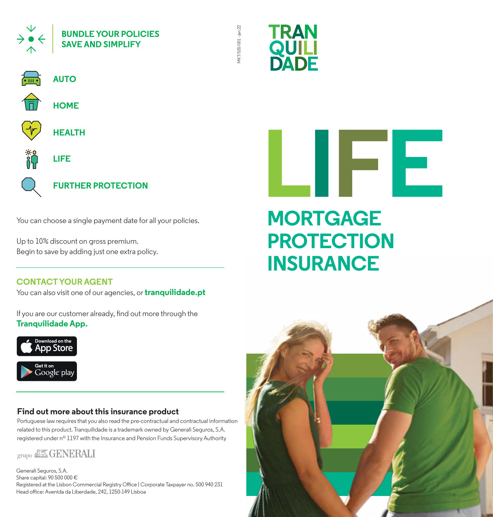



MKT/535/001 - jan.22

4KT/535/001-jan.22



You can choose a single payment date for all your policies.

Up to 10% discount on gross premium. Begin to save by adding just one extra policy.

#### **CONTACT YOUR AGENT**

You can also visit one of our agencies, or **tranquilidade.pt** 

If you are our customer already, find out more through the **Tranquilidade App.**



#### **Find out more about this insurance product**

Portuguese law requires that you also read the pre-contractual and contractual information related to this product. Tranquilidade is a trademark owned by Generali Seguros, S.A. registered under nº 1197 with the Insurance and Pension Funds Supervisory Authority

### grupo & GENERALI

Generali Seguros, S.A. Share capital: 90 500 000 € Registered at the Lisbon Commercial Registry Office | Corporate Taxpayer no. 500 940 231 Head office: Avenida da Liberdade, 242, 1250-149 Lisboa

# **L IFE MORTGAGE PROTECTION INSURANCE**